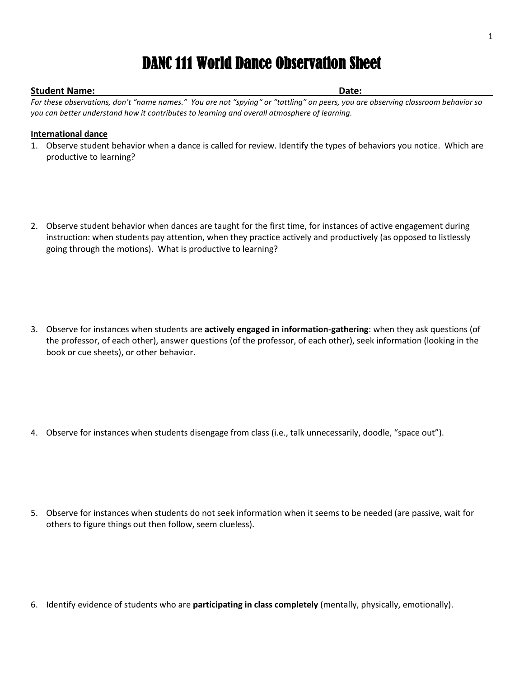# DANC 111 World Dance Observation Sheet

## **Student Name: Date:**

*For these observations, don't "name names." You are not "spying" or "tattling" on peers, you are observing classroom behavior so you can better understand how it contributes to learning and overall atmosphere of learning.*

### **International dance**

- 1. Observe student behavior when a dance is called for review. Identify the types of behaviors you notice. Which are productive to learning?
- 2. Observe student behavior when dances are taught for the first time, for instances of active engagement during instruction: when students pay attention, when they practice actively and productively (as opposed to listlessly going through the motions). What is productive to learning?

3. Observe for instances when students are **actively engaged in information-gathering**: when they ask questions (of the professor, of each other), answer questions (of the professor, of each other), seek information (looking in the book or cue sheets), or other behavior.

4. Observe for instances when students disengage from class (i.e., talk unnecessarily, doodle, "space out").

5. Observe for instances when students do not seek information when it seems to be needed (are passive, wait for others to figure things out then follow, seem clueless).

6. Identify evidence of students who are **participating in class completely** (mentally, physically, emotionally).